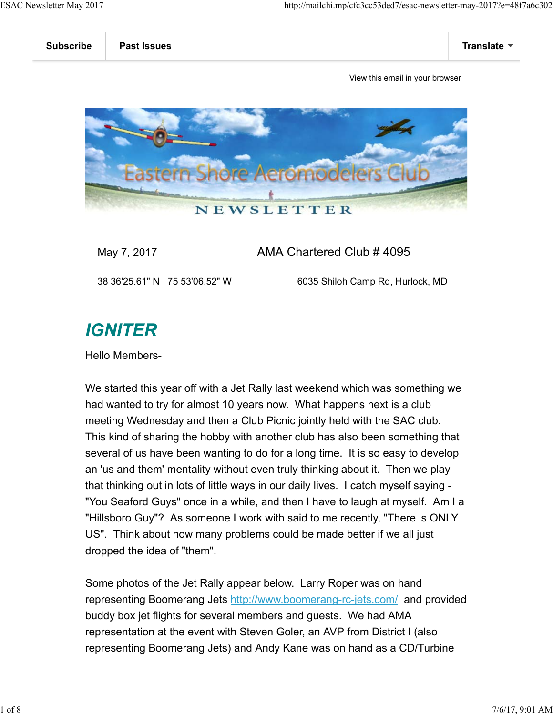

#### May 7, 2017 **AMA Chartered Club # 4095**

38 36'25.61" N 75 53'06.52" W 6035 Shiloh Camp Rd, Hurlock, MD

## **IGNITER**

Hello Members-

We started this year off with a Jet Rally last weekend which was something we had wanted to try for almost 10 years now. What happens next is a club meeting Wednesday and then a Club Picnic jointly held with the SAC club. This kind of sharing the hobby with another club has also been something that several of us have been wanting to do for a long time. It is so easy to develop an 'us and them' mentality without even truly thinking about it. Then we play that thinking out in lots of little ways in our daily lives. I catch myself saying - "You Seaford Guys" once in a while, and then I have to laugh at myself. Am I a "Hillsboro Guy"? As someone I work with said to me recently, "There is ONLY US". Think about how many problems could be made better if we all just dropped the idea of "them".

Some photos of the Jet Rally appear below. Larry Roper was on hand representing Boomerang Jets http://www.boomerang-rc-jets.com/ and provided buddy box jet flights for several members and guests. We had AMA representation at the event with Steven Goler, an AVP from District I (also representing Boomerang Jets) and Andy Kane was on hand as a CD/Turbine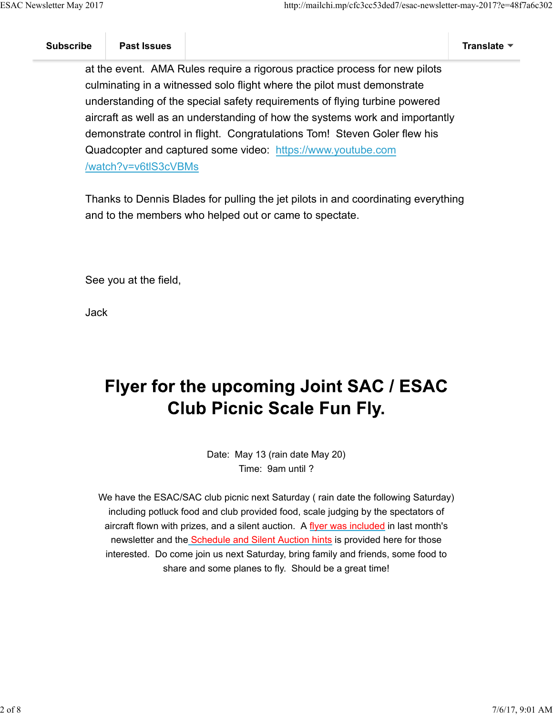at the event. AMA Rules require a rigorous practice process for new pilots culminating in a witnessed solo flight where the pilot must demonstrate understanding of the special safety requirements of flying turbine powered aircraft as well as an understanding of how the systems work and importantly demonstrate control in flight. Congratulations Tom! Steven Goler flew his Quadcopter and captured some video: https://www.youtube.com /watch?v=v6tlS3cVBMs

Thanks to Dennis Blades for pulling the jet pilots in and coordinating everything and to the members who helped out or came to spectate.

See you at the field,

Jack

# Flyer for the upcoming Joint SAC / ESAC **Club Picnic Scale Fun Fly.**

Date: May 13 (rain date May 20) Time: 9am until ?

We have the ESAC/SAC club picnic next Saturday ( rain date the following Saturday) including potluck food and club provided food, scale judging by the spectators of aircraft flown with prizes, and a silent auction. A flyer was included in last month's newsletter and the Schedule and Silent Auction hints is provided here for those interested. Do come join us next Saturday, bring family and friends, some food to share and some planes to fly. Should be a great time!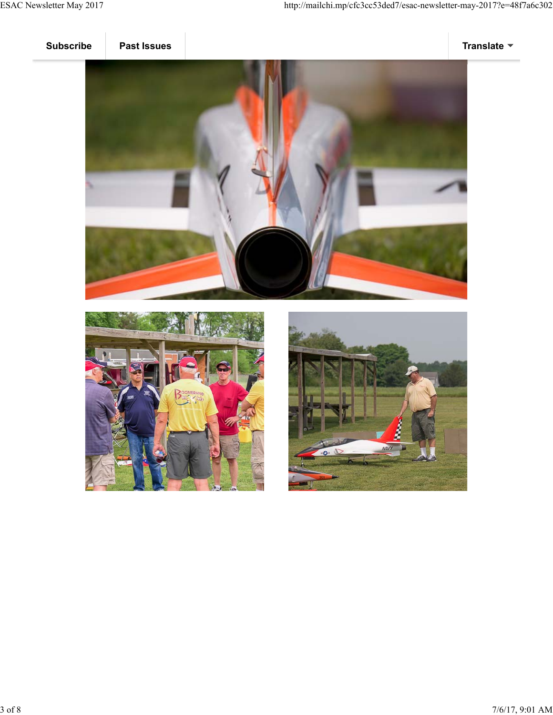



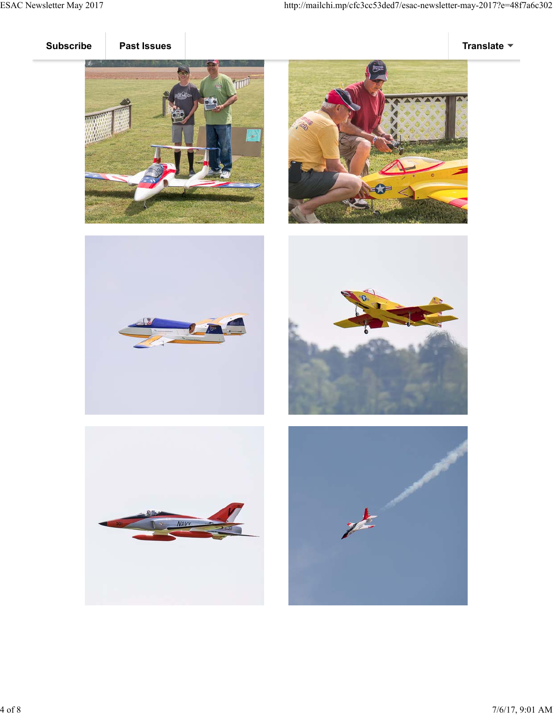









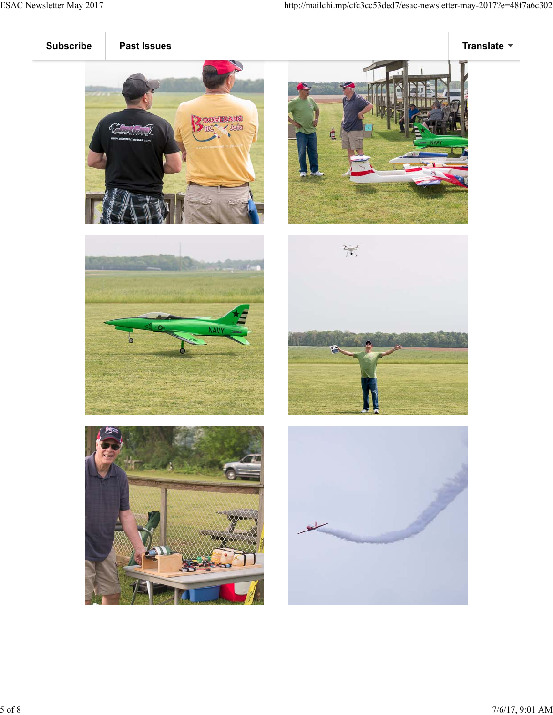









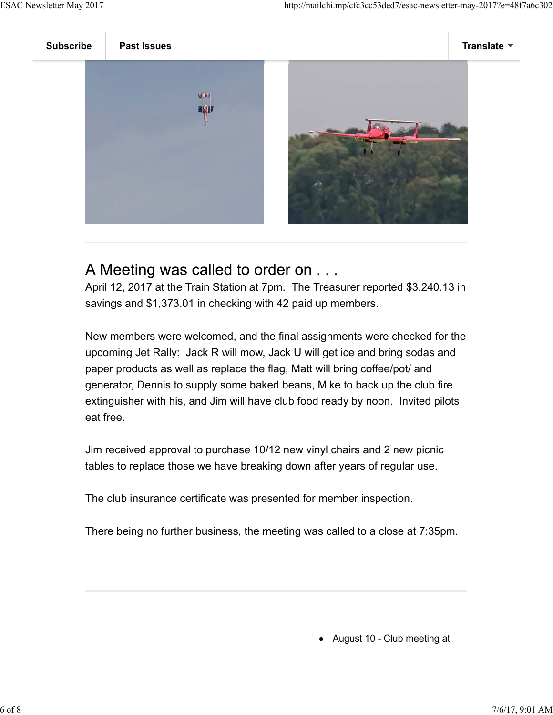

### A Meeting was called to order on ...

April 12, 2017 at the Train Station at 7pm. The Treasurer reported \$3,240.13 in savings and \$1,373.01 in checking with 42 paid up members.

New members were welcomed, and the final assignments were checked for the upcoming Jet Rally: Jack R will mow, Jack U will get ice and bring sodas and paper products as well as replace the flag, Matt will bring coffee/pot/ and generator, Dennis to supply some baked beans, Mike to back up the club fire extinguisher with his, and Jim will have club food ready by noon. Invited pilots eat free.

Jim received approval to purchase 10/12 new vinyl chairs and 2 new picnic tables to replace those we have breaking down after years of regular use.

The club insurance certificate was presented for member inspection.

There being no further business, the meeting was called to a close at 7:35pm.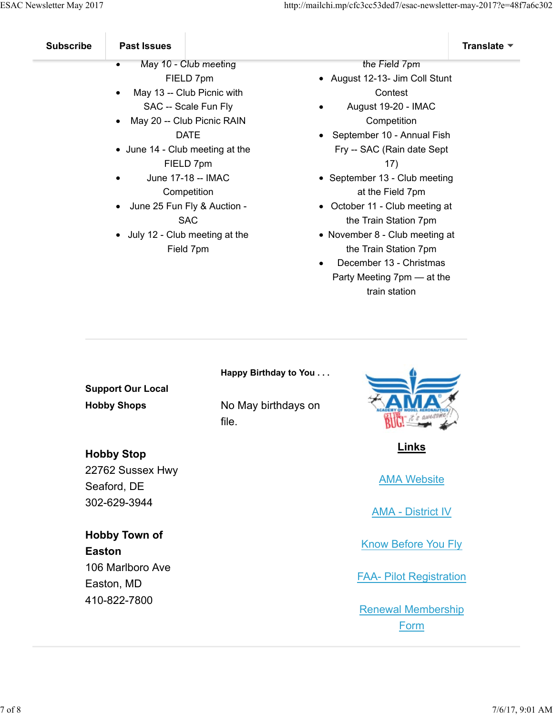May 10 - Club meeting  $\bullet$ FIELD 7pm

- May 13 -- Club Picnic with SAC -- Scale Fun Fly
- May 20 -- Club Picnic RAIN DATE
- June 14 Club meeting at the FIELD 7pm
- June 17-18 -- IMAC **Competition**
- June 25 Fun Fly & Auction SAC
- July 12 Club meeting at the Field 7pm

the Field 7pm

- August 12-13- Jim Coll Stunt **Contest**
- August 19-20 IMAC **Competition**
- September 10 Annual Fish Fry -- SAC (Rain date Sept 17)
- September 13 Club meeting at the Field 7pm
- October 11 Club meeting at the Train Station 7pm
- November 8 Club meeting at the Train Station 7pm
- December 13 Christmas Party Meeting 7pm — at the train station

**Happy Birthday to You . . .**

No May birthdays on file.



**Hobby Stop**

**Hobby Shops**

22762 Sussex Hwy Seaford, DE 302-629-3944

**Support Our Local**

**Hobby Town of Easton** 106 Marlboro Ave Easton, MD 410-822-7800

**Links**

AMA Website

AMA - District IV

Know Before You Fly

FAA- Pilot Registration

Renewal Membership Form